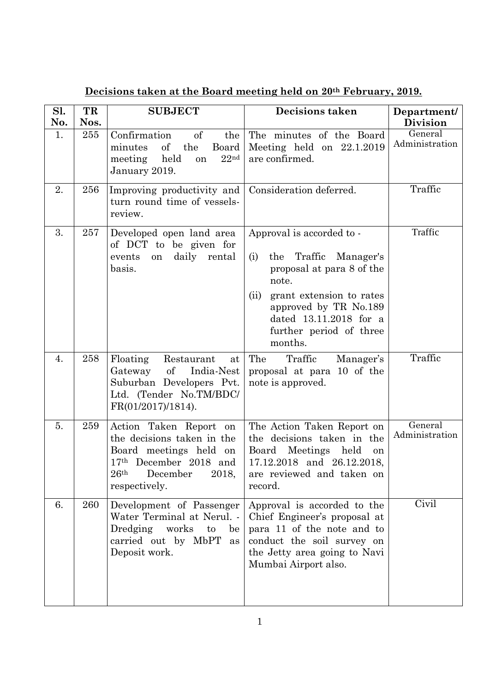| Sl.<br>No. | TR<br>Nos. | <b>SUBJECT</b>                                                                                                                                                     | <b>Decisions taken</b>                                                                                                                                                                                                       | Department/<br><b>Division</b> |
|------------|------------|--------------------------------------------------------------------------------------------------------------------------------------------------------------------|------------------------------------------------------------------------------------------------------------------------------------------------------------------------------------------------------------------------------|--------------------------------|
| 1.         | 255        | Confirmation<br>of<br>the<br>of<br>the<br>minutes<br>Board<br>22 <sup>nd</sup><br>held<br>meeting<br>on<br>January 2019.                                           | The minutes of the Board<br>Meeting held on $22.1.2019$<br>are confirmed.                                                                                                                                                    | General<br>Administration      |
| 2.         | 256        | Improving productivity and<br>turn round time of vessels-<br>review.                                                                                               | Consideration deferred.                                                                                                                                                                                                      | Traffic                        |
| 3.         | 257        | Developed open land area<br>of DCT to be given for<br>daily rental<br>events<br>on<br>basis.                                                                       | Approval is accorded to -<br>the Traffic Manager's<br>(i)<br>proposal at para 8 of the<br>note.<br>grant extension to rates<br>(ii)<br>approved by TR No.189<br>dated 13.11.2018 for a<br>further period of three<br>months. | Traffic                        |
| 4.         | 258        | Floating<br>Restaurant<br>at<br>Gateway of<br>India-Nest<br>Suburban Developers Pvt.<br>Ltd. (Tender No.TM/BDC/<br>FR(01/2017)/1814).                              | The<br>Traffic<br>Manager's<br>proposal at para 10 of the<br>note is approved.                                                                                                                                               | Traffic                        |
| 5.         | 259        | Action Taken Report on<br>the decisions taken in the<br>Board meetings held on<br>17th December 2018 and<br>26 <sup>th</sup><br>December<br>2018,<br>respectively. | The Action Taken Report on<br>the decisions taken in the<br>Board Meetings held<br>on<br>17.12.2018 and 26.12.2018,<br>are reviewed and taken on<br>record.                                                                  | General<br>Administration      |
| 6.         | 260        | Development of Passenger<br>Water Terminal at Nerul. -<br>Dredging<br>works<br>$\mathbf{t}$<br>be<br>carried out by MbPT as<br>Deposit work.                       | Approval is accorded to the<br>Chief Engineer's proposal at<br>para 11 of the note and to<br>conduct the soil survey on<br>the Jetty area going to Navi<br>Mumbai Airport also.                                              | Civil                          |

**Decisions taken at the Board meeting held on 20th February, 2019.**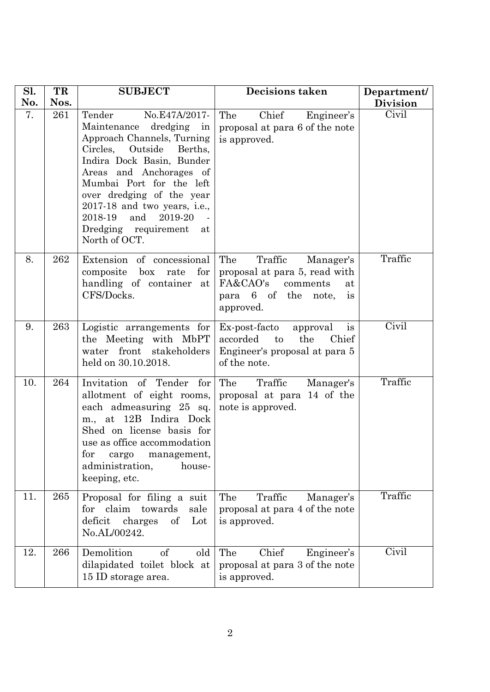| Sl. | TR   | <b>SUBJECT</b>                                                                                                                                                                                                                                                                                                                                    | <b>Decisions taken</b>                                                                                                                      | Department/     |
|-----|------|---------------------------------------------------------------------------------------------------------------------------------------------------------------------------------------------------------------------------------------------------------------------------------------------------------------------------------------------------|---------------------------------------------------------------------------------------------------------------------------------------------|-----------------|
| No. | Nos. |                                                                                                                                                                                                                                                                                                                                                   |                                                                                                                                             | <b>Division</b> |
| 7.  | 261  | Tender<br>No.E47A/2017-<br>Maintenance dredging in<br>Approach Channels, Turning<br>Circles,<br>Outside<br>Berths,<br>Indira Dock Basin, Bunder<br>Areas and Anchorages of<br>Mumbai Port for the left<br>over dredging of the year<br>$2017-18$ and two years, i.e.,<br>2019-20<br>2018-19<br>and<br>Dredging requirement<br>at<br>North of OCT. | Chief<br>The<br>Engineer's<br>proposal at para 6 of the note<br>is approved.                                                                | Civil           |
| 8.  | 262  | Extension of concessional<br>for<br>box<br>rate<br>composite<br>handling of container at<br>CFS/Docks.                                                                                                                                                                                                                                            | The<br>Traffic<br>Manager's<br>proposal at para 5, read with<br>FA&CAO's<br>comments<br>at<br>para 6 of the note,<br><i>is</i><br>approved. | Traffic         |
| 9.  | 263  | Logistic arrangements for<br>the Meeting with MbPT<br>front<br>stakeholders<br>water<br>held on 30.10.2018.                                                                                                                                                                                                                                       | Ex-post-facto<br>approval<br>is<br>accorded<br>the<br>to<br>Chief<br>Engineer's proposal at para 5<br>of the note.                          | Civil           |
| 10. | 264  | Invitation of Tender for<br>allotment of eight rooms,<br>each admeasuring 25 sq.<br>m., at 12B Indira Dock<br>Shed on license basis for<br>use as office accommodation<br>for<br>management,<br>cargo<br>administration,<br>house-<br>keeping, etc.                                                                                               | The<br>Traffic<br>Manager's<br>proposal at para 14 of the<br>note is approved.                                                              | Traffic         |
| 11. | 265  | Proposal for filing a suit<br>for claim<br>towards<br>sale<br>$\sigma f$<br>Lot<br>deficit<br>charges<br>No.AL/00242.                                                                                                                                                                                                                             | The<br>Traffic<br>Manager's<br>proposal at para 4 of the note<br>is approved.                                                               | Traffic         |
| 12. | 266  | Demolition<br>of<br>old<br>dilapidated toilet block at<br>15 ID storage area.                                                                                                                                                                                                                                                                     | The<br>Chief<br>Engineer's<br>proposal at para 3 of the note<br>is approved.                                                                | Civil           |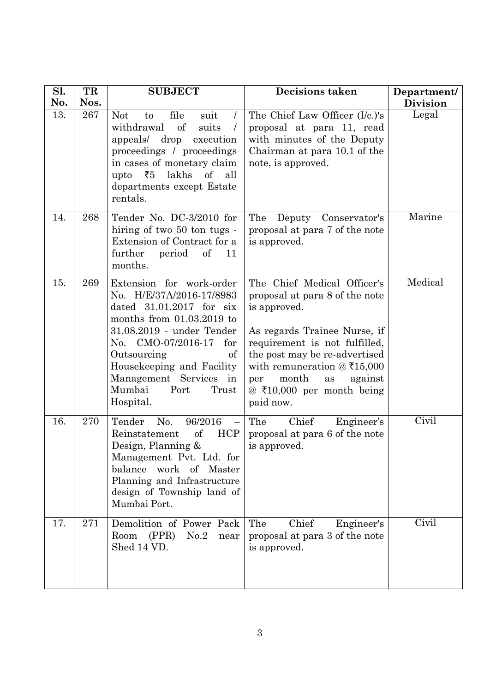| Sl. | TR   | <b>SUBJECT</b>                                                                                                                                                                                                                                                                                     | <b>Decisions taken</b>                                                                                                                                                                                                                                                                           | Department/     |
|-----|------|----------------------------------------------------------------------------------------------------------------------------------------------------------------------------------------------------------------------------------------------------------------------------------------------------|--------------------------------------------------------------------------------------------------------------------------------------------------------------------------------------------------------------------------------------------------------------------------------------------------|-----------------|
| No. | Nos. |                                                                                                                                                                                                                                                                                                    |                                                                                                                                                                                                                                                                                                  | <b>Division</b> |
| 13. | 267  | file<br><b>Not</b><br>suit<br>to<br>$\prime$<br>of<br>withdrawal<br>suits<br>drop<br>appeals/<br>execution<br>proceedings / proceedings<br>in cases of monetary claim<br>₹5<br>lakhs<br>of<br>upto<br>all<br>departments except Estate<br>rentals.                                                 | The Chief Law Officer (I/c.)'s<br>proposal at para 11, read<br>with minutes of the Deputy<br>Chairman at para 10.1 of the<br>note, is approved.                                                                                                                                                  | Legal           |
| 14. | 268  | Tender No. DC-3/2010 for<br>hiring of two 50 ton tugs -<br>Extension of Contract for a<br>further<br>of<br>period<br>11<br>months.                                                                                                                                                                 | The<br>Deputy<br>Conservator's<br>proposal at para 7 of the note<br>is approved.                                                                                                                                                                                                                 | Marine          |
| 15. | 269  | Extension for work-order<br>No. H/E/37A/2016-17/8983<br>dated $31.01.2017$ for six<br>months from $01.03.2019$ to<br>31.08.2019 - under Tender<br>No. CMO-07/2016-17<br>for<br>Outsourcing<br>of<br>Housekeeping and Facility<br>Management Services<br>in<br>Mumbai<br>Port<br>Trust<br>Hospital. | The Chief Medical Officer's<br>proposal at para 8 of the note<br>is approved.<br>As regards Trainee Nurse, if<br>requirement is not fulfilled,<br>the post may be re-advertised<br>with remuneration $\omega$ ₹15,000<br>month<br>against<br>per<br>as<br>@ ₹10,000 per month being<br>paid now. | Medical         |
| 16. | 270  | Tender<br>96/2016<br>No.<br>$\qquad \qquad -$<br>of<br><b>HCP</b><br>Reinstatement<br>Design, Planning $\&$<br>Management Pvt. Ltd. for<br>balance<br>work of Master<br>Planning and Infrastructure<br>design of Township land of<br>Mumbai Port.                                                  | The<br>Chief<br>Engineer's<br>proposal at para 6 of the note<br>is approved.                                                                                                                                                                                                                     | Civil           |
| 17. | 271  | Demolition of Power Pack<br>Room<br>(PPR)<br>No.2<br>near<br>Shed 14 VD.                                                                                                                                                                                                                           | The<br>Chief<br>Engineer's<br>proposal at para 3 of the note<br>is approved.                                                                                                                                                                                                                     | Civil           |